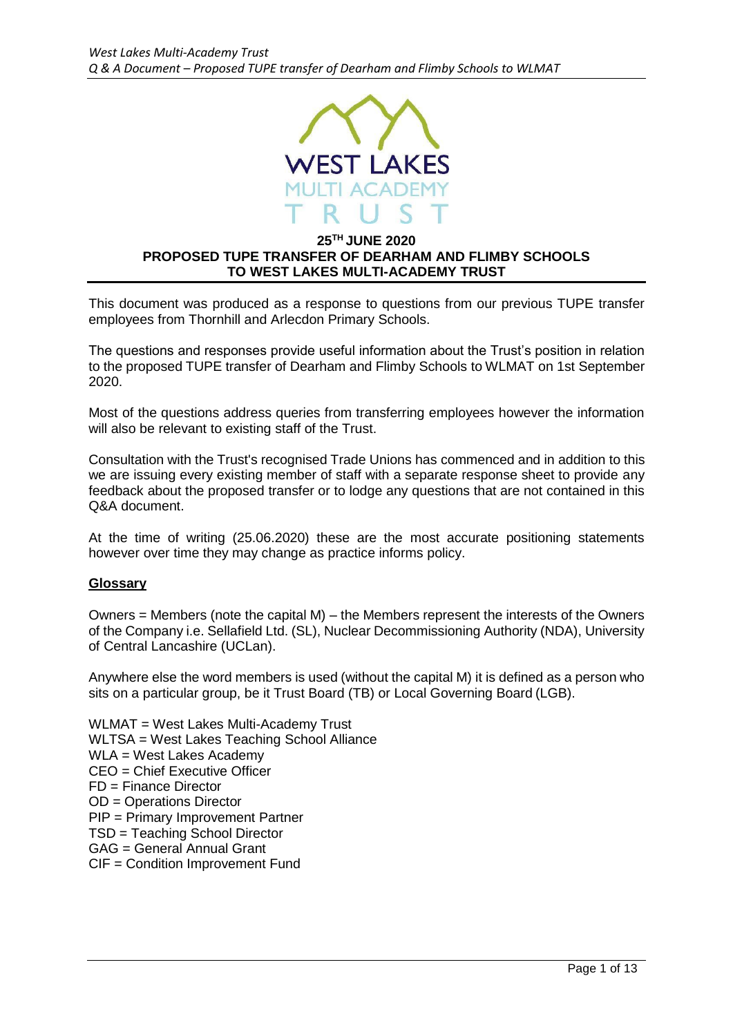

#### **25TH JUNE 2020 PROPOSED TUPE TRANSFER OF DEARHAM AND FLIMBY SCHOOLS TO WEST LAKES MULTI-ACADEMY TRUST**

This document was produced as a response to questions from our previous TUPE transfer employees from Thornhill and Arlecdon Primary Schools.

The questions and responses provide useful information about the Trust's position in relation to the proposed TUPE transfer of Dearham and Flimby Schools to WLMAT on 1st September 2020.

Most of the questions address queries from transferring employees however the information will also be relevant to existing staff of the Trust.

Consultation with the Trust's recognised Trade Unions has commenced and in addition to this we are issuing every existing member of staff with a separate response sheet to provide any feedback about the proposed transfer or to lodge any questions that are not contained in this Q&A document.

At the time of writing (25.06.2020) these are the most accurate positioning statements however over time they may change as practice informs policy.

## **Glossary**

Owners = Members (note the capital  $M$ ) – the Members represent the interests of the Owners of the Company i.e. Sellafield Ltd. (SL), Nuclear Decommissioning Authority (NDA), University of Central Lancashire (UCLan).

Anywhere else the word members is used (without the capital M) it is defined as a person who sits on a particular group, be it Trust Board (TB) or Local Governing Board (LGB).

WLMAT = West Lakes Multi-Academy Trust WLTSA = West Lakes Teaching School Alliance WLA = West Lakes Academy CEO = Chief Executive Officer FD = Finance Director OD = Operations Director PIP = Primary Improvement Partner TSD = Teaching School Director GAG = General Annual Grant CIF = Condition Improvement Fund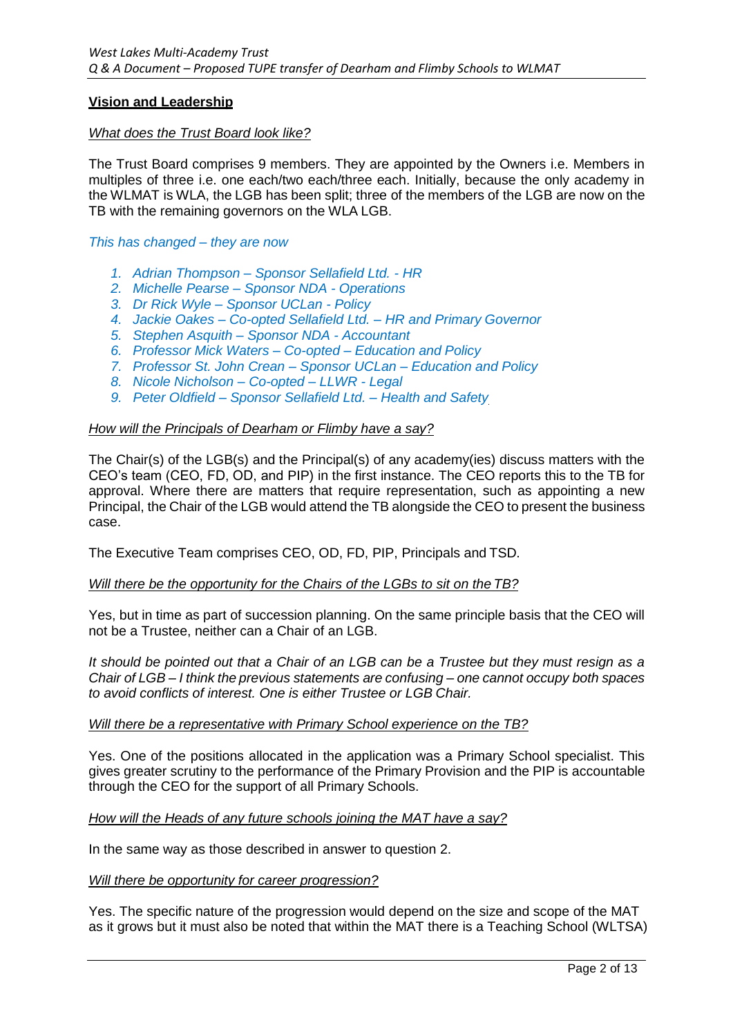## **Vision and Leadership**

## *What does the Trust Board look like?*

The Trust Board comprises 9 members. They are appointed by the Owners i.e. Members in multiples of three i.e. one each/two each/three each. Initially, because the only academy in the WLMAT is WLA, the LGB has been split; three of the members of the LGB are now on the TB with the remaining governors on the WLA LGB.

*This has changed – they are now*

- *1. Adrian Thompson – Sponsor Sellafield Ltd. - HR*
- *2. Michelle Pearse – Sponsor NDA - Operations*
- *3. Dr Rick Wyle – Sponsor UCLan - Policy*
- *4. Jackie Oakes – Co-opted Sellafield Ltd. – HR and Primary Governor*
- *5. Stephen Asquith – Sponsor NDA - Accountant*
- *6. Professor Mick Waters – Co-opted – Education and Policy*
- *7. Professor St. John Crean – Sponsor UCLan – Education and Policy*
- *8. Nicole Nicholson – Co-opted – LLWR - Legal*
- *9. Peter Oldfield – Sponsor Sellafield Ltd. – Health and Safety*

#### *How will the Principals of Dearham or Flimby have a say?*

The Chair(s) of the LGB(s) and the Principal(s) of any academy(ies) discuss matters with the CEO's team (CEO, FD, OD, and PIP) in the first instance. The CEO reports this to the TB for approval. Where there are matters that require representation, such as appointing a new Principal, the Chair of the LGB would attend the TB alongside the CEO to present the business case.

The Executive Team comprises CEO, OD, FD, PIP, Principals and TSD.

## *Will there be the opportunity for the Chairs of the LGBs to sit on the TB?*

Yes, but in time as part of succession planning. On the same principle basis that the CEO will not be a Trustee, neither can a Chair of an LGB.

*It should be pointed out that a Chair of an LGB can be a Trustee but they must resign as a Chair of LGB – I think the previous statements are confusing – one cannot occupy both spaces to avoid conflicts of interest. One is either Trustee or LGB Chair.*

## *Will there be a representative with Primary School experience on the TB?*

Yes. One of the positions allocated in the application was a Primary School specialist. This gives greater scrutiny to the performance of the Primary Provision and the PIP is accountable through the CEO for the support of all Primary Schools.

## *How will the Heads of any future schools joining the MAT have a say?*

In the same way as those described in answer to question 2.

#### *Will there be opportunity for career progression?*

Yes. The specific nature of the progression would depend on the size and scope of the MAT as it grows but it must also be noted that within the MAT there is a Teaching School (WLTSA)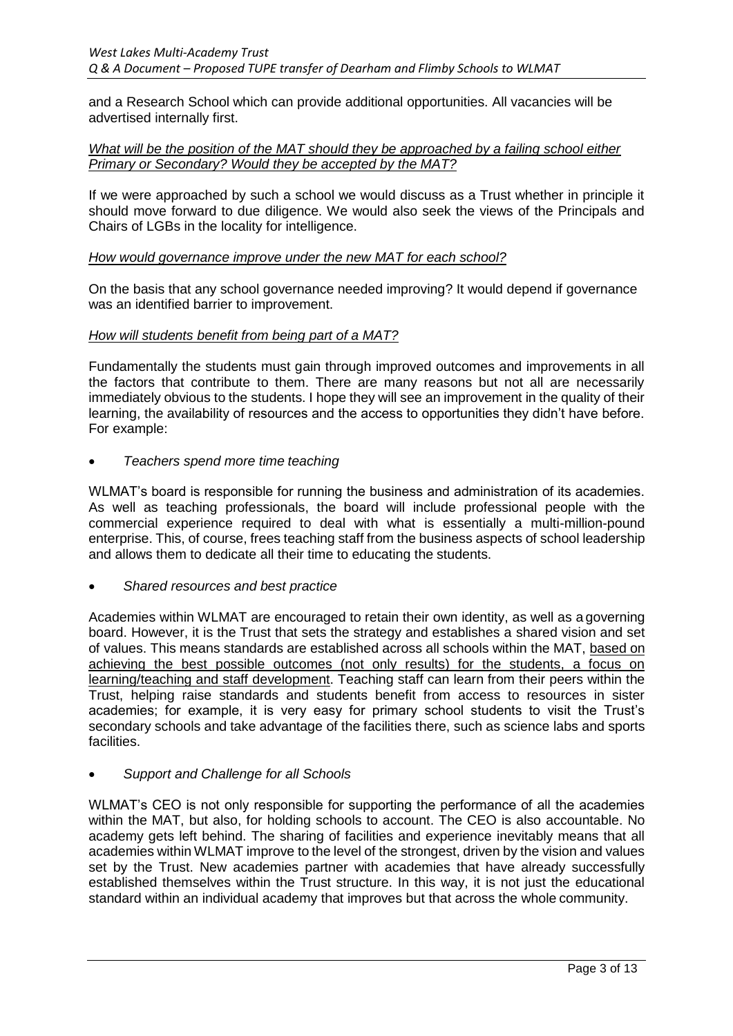and a Research School which can provide additional opportunities. All vacancies will be advertised internally first.

## *What will be the position of the MAT should they be approached by a failing school either Primary or Secondary? Would they be accepted by the MAT?*

If we were approached by such a school we would discuss as a Trust whether in principle it should move forward to due diligence. We would also seek the views of the Principals and Chairs of LGBs in the locality for intelligence.

#### *How would governance improve under the new MAT for each school?*

On the basis that any school governance needed improving? It would depend if governance was an identified barrier to improvement.

#### *How will students benefit from being part of a MAT?*

Fundamentally the students must gain through improved outcomes and improvements in all the factors that contribute to them. There are many reasons but not all are necessarily immediately obvious to the students. I hope they will see an improvement in the quality of their learning, the availability of resources and the access to opportunities they didn't have before. For example:

*Teachers spend more time teaching*

WLMAT's board is responsible for running the business and administration of its academies. As well as teaching professionals, the board will include professional people with the commercial experience required to deal with what is essentially a multi-million-pound enterprise. This, of course, frees teaching staff from the business aspects of school leadership and allows them to dedicate all their time to educating the students.

*Shared resources and best practice*

Academies within WLMAT are encouraged to retain their own identity, as well as a governing board. However, it is the Trust that sets the strategy and establishes a shared vision and set of values. This means standards are established across all schools within the MAT, based on achieving the best possible outcomes (not only results) for the students, a focus on learning/teaching and staff development. Teaching staff can learn from their peers within the Trust, helping raise standards and students benefit from access to resources in sister academies; for example, it is very easy for primary school students to visit the Trust's secondary schools and take advantage of the facilities there, such as science labs and sports facilities.

## *Support and Challenge for all Schools*

WLMAT's CEO is not only responsible for supporting the performance of all the academies within the MAT, but also, for holding schools to account. The CEO is also accountable. No academy gets left behind. The sharing of facilities and experience inevitably means that all academies within WLMAT improve to the level of the strongest, driven by the vision and values set by the Trust. New academies partner with academies that have already successfully established themselves within the Trust structure. In this way, it is not just the educational standard within an individual academy that improves but that across the whole community.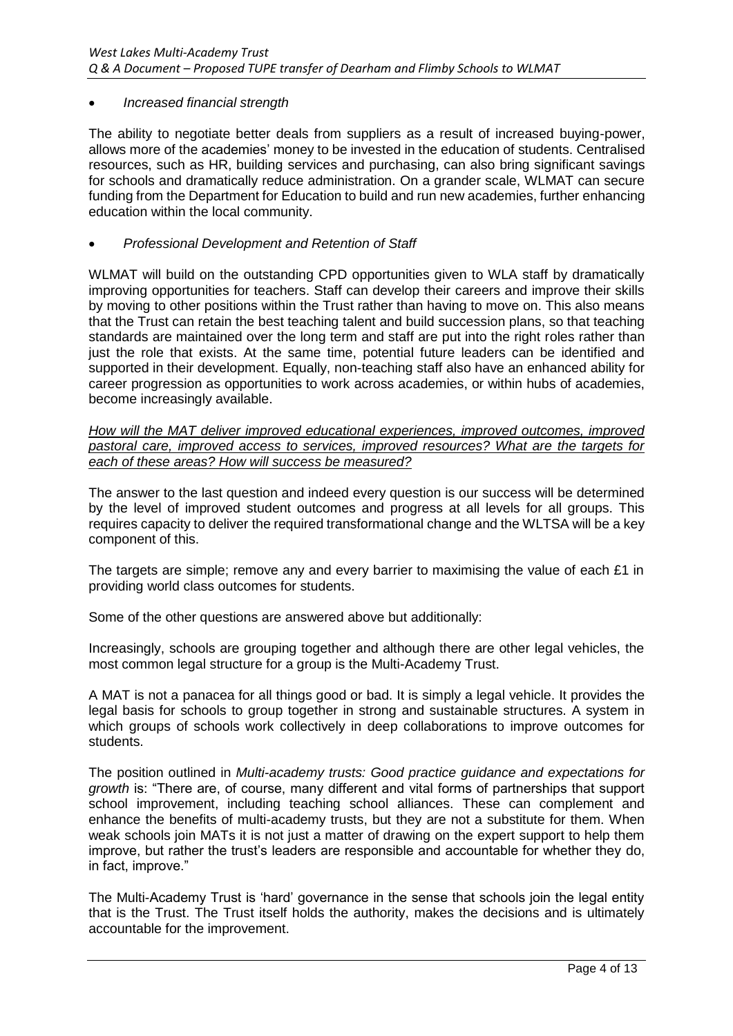## *Increased financial strength*

The ability to negotiate better deals from suppliers as a result of increased buying-power, allows more of the academies' money to be invested in the education of students. Centralised resources, such as HR, building services and purchasing, can also bring significant savings for schools and dramatically reduce administration. On a grander scale, WLMAT can secure funding from the Department for Education to build and run new academies, further enhancing education within the local community.

## *Professional Development and Retention of Staff*

WLMAT will build on the outstanding CPD opportunities given to WLA staff by dramatically improving opportunities for teachers. Staff can develop their careers and improve their skills by moving to other positions within the Trust rather than having to move on. This also means that the Trust can retain the best teaching talent and build succession plans, so that teaching standards are maintained over the long term and staff are put into the right roles rather than just the role that exists. At the same time, potential future leaders can be identified and supported in their development. Equally, non-teaching staff also have an enhanced ability for career progression as opportunities to work across academies, or within hubs of academies, become increasingly available.

*How will the MAT deliver improved educational experiences, improved outcomes, improved pastoral care, improved access to services, improved resources? What are the targets for each of these areas? How will success be measured?*

The answer to the last question and indeed every question is our success will be determined by the level of improved student outcomes and progress at all levels for all groups. This requires capacity to deliver the required transformational change and the WLTSA will be a key component of this.

The targets are simple; remove any and every barrier to maximising the value of each £1 in providing world class outcomes for students.

Some of the other questions are answered above but additionally:

Increasingly, schools are grouping together and although there are other legal vehicles, the most common legal structure for a group is the Multi-Academy Trust.

A MAT is not a panacea for all things good or bad. It is simply a legal vehicle. It provides the legal basis for schools to group together in strong and sustainable structures. A system in which groups of schools work collectively in deep collaborations to improve outcomes for students.

The position outlined in *Multi-academy trusts: Good practice guidance and expectations for growth* is: "There are, of course, many different and vital forms of partnerships that support school improvement, including teaching school alliances. These can complement and enhance the benefits of multi-academy trusts, but they are not a substitute for them. When weak schools join MATs it is not just a matter of drawing on the expert support to help them improve, but rather the trust's leaders are responsible and accountable for whether they do, in fact, improve."

The Multi-Academy Trust is 'hard' governance in the sense that schools join the legal entity that is the Trust. The Trust itself holds the authority, makes the decisions and is ultimately accountable for the improvement.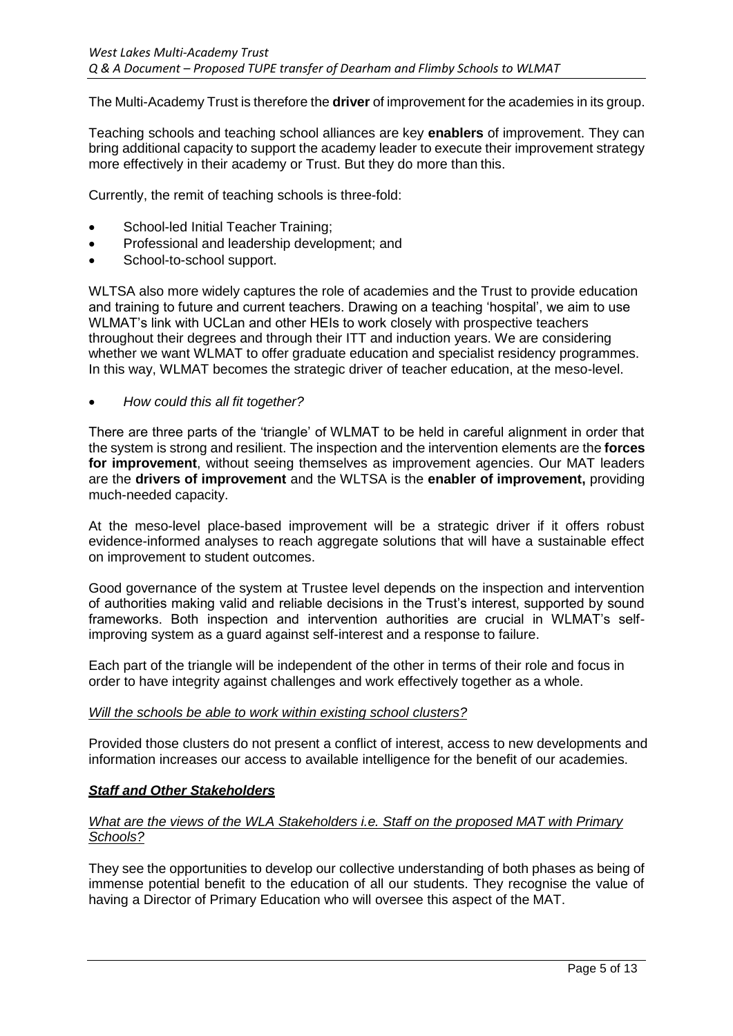The Multi-Academy Trust is therefore the **driver** of improvement for the academies in its group.

Teaching schools and teaching school alliances are key **enablers** of improvement. They can bring additional capacity to support the academy leader to execute their improvement strategy more effectively in their academy or Trust. But they do more than this.

Currently, the remit of teaching schools is three-fold:

- School-led Initial Teacher Training;
- Professional and leadership development; and
- School-to-school support.

WLTSA also more widely captures the role of academies and the Trust to provide education and training to future and current teachers. Drawing on a teaching 'hospital', we aim to use WLMAT's link with UCLan and other HEIs to work closely with prospective teachers throughout their degrees and through their ITT and induction years. We are considering whether we want WLMAT to offer graduate education and specialist residency programmes. In this way, WLMAT becomes the strategic driver of teacher education, at the meso-level.

## *How could this all fit together?*

There are three parts of the 'triangle' of WLMAT to be held in careful alignment in order that the system is strong and resilient. The inspection and the intervention elements are the **forces for improvement**, without seeing themselves as improvement agencies. Our MAT leaders are the **drivers of improvement** and the WLTSA is the **enabler of improvement,** providing much-needed capacity.

At the meso-level place-based improvement will be a strategic driver if it offers robust evidence-informed analyses to reach aggregate solutions that will have a sustainable effect on improvement to student outcomes.

Good governance of the system at Trustee level depends on the inspection and intervention of authorities making valid and reliable decisions in the Trust's interest, supported by sound frameworks. Both inspection and intervention authorities are crucial in WLMAT's selfimproving system as a guard against self-interest and a response to failure.

Each part of the triangle will be independent of the other in terms of their role and focus in order to have integrity against challenges and work effectively together as a whole.

## *Will the schools be able to work within existing school clusters?*

Provided those clusters do not present a conflict of interest, access to new developments and information increases our access to available intelligence for the benefit of our academies.

## *Staff and Other Stakeholders*

## *What are the views of the WLA Stakeholders i.e. Staff on the proposed MAT with Primary Schools?*

They see the opportunities to develop our collective understanding of both phases as being of immense potential benefit to the education of all our students. They recognise the value of having a Director of Primary Education who will oversee this aspect of the MAT.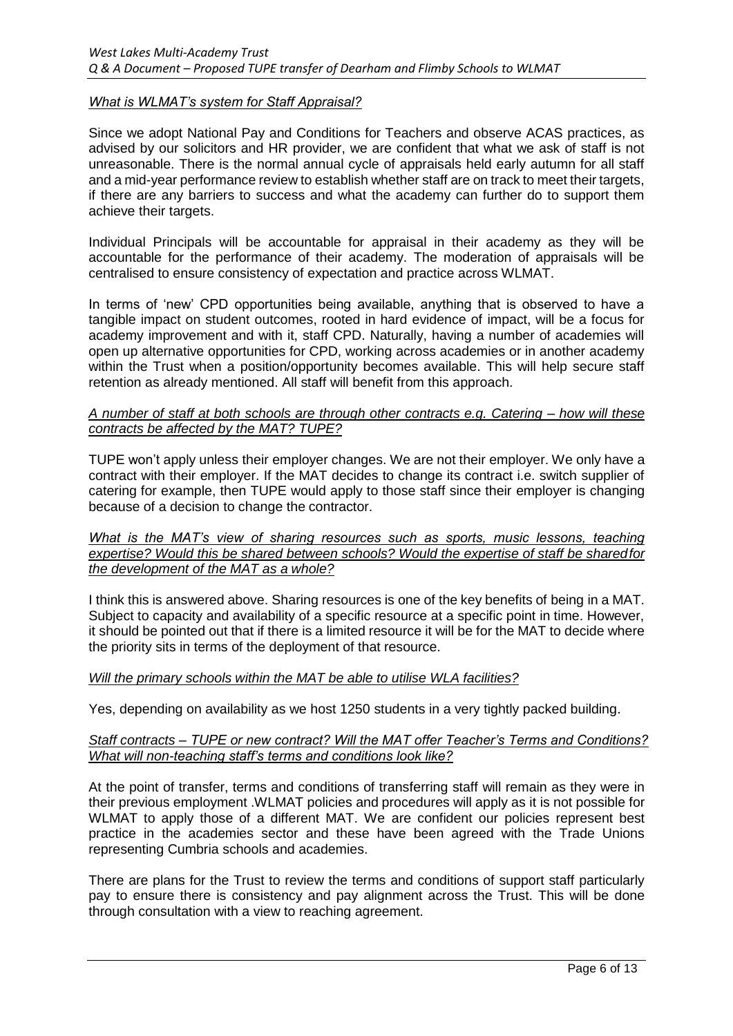#### *What is WLMAT's system for Staff Appraisal?*

Since we adopt National Pay and Conditions for Teachers and observe ACAS practices, as advised by our solicitors and HR provider, we are confident that what we ask of staff is not unreasonable. There is the normal annual cycle of appraisals held early autumn for all staff and a mid-year performance review to establish whether staff are on track to meet their targets, if there are any barriers to success and what the academy can further do to support them achieve their targets.

Individual Principals will be accountable for appraisal in their academy as they will be accountable for the performance of their academy. The moderation of appraisals will be centralised to ensure consistency of expectation and practice across WLMAT.

In terms of 'new' CPD opportunities being available, anything that is observed to have a tangible impact on student outcomes, rooted in hard evidence of impact, will be a focus for academy improvement and with it, staff CPD. Naturally, having a number of academies will open up alternative opportunities for CPD, working across academies or in another academy within the Trust when a position/opportunity becomes available. This will help secure staff retention as already mentioned. All staff will benefit from this approach.

#### *A number of staff at both schools are through other contracts e.g. Catering – how will these contracts be affected by the MAT? TUPE?*

TUPE won't apply unless their employer changes. We are not their employer. We only have a contract with their employer. If the MAT decides to change its contract i.e. switch supplier of catering for example, then TUPE would apply to those staff since their employer is changing because of a decision to change the contractor.

#### *What is the MAT's view of sharing resources such as sports, music lessons, teaching expertise? Would this be shared between schools? Would the expertise of staff be sharedfor the development of the MAT as a whole?*

I think this is answered above. Sharing resources is one of the key benefits of being in a MAT. Subject to capacity and availability of a specific resource at a specific point in time. However, it should be pointed out that if there is a limited resource it will be for the MAT to decide where the priority sits in terms of the deployment of that resource.

## *Will the primary schools within the MAT be able to utilise WLA facilities?*

Yes, depending on availability as we host 1250 students in a very tightly packed building.

#### *Staff contracts – TUPE or new contract? Will the MAT offer Teacher's Terms and Conditions? What will non-teaching staff's terms and conditions look like?*

At the point of transfer, terms and conditions of transferring staff will remain as they were in their previous employment .WLMAT policies and procedures will apply as it is not possible for WLMAT to apply those of a different MAT. We are confident our policies represent best practice in the academies sector and these have been agreed with the Trade Unions representing Cumbria schools and academies.

There are plans for the Trust to review the terms and conditions of support staff particularly pay to ensure there is consistency and pay alignment across the Trust. This will be done through consultation with a view to reaching agreement.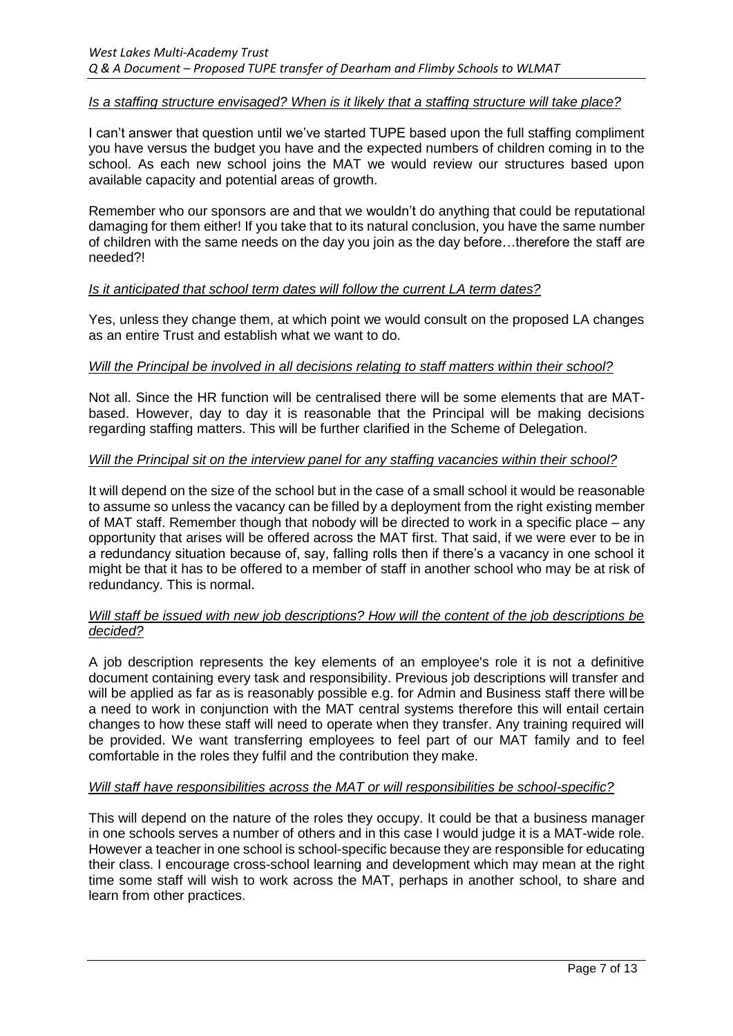#### *Is a staffing structure envisaged? When is it likely that a staffing structure will take place?*

I can't answer that question until we've started TUPE based upon the full staffing compliment you have versus the budget you have and the expected numbers of children coming in to the school. As each new school joins the MAT we would review our structures based upon available capacity and potential areas of growth.

Remember who our sponsors are and that we wouldn't do anything that could be reputational damaging for them either! If you take that to its natural conclusion, you have the same number of children with the same needs on the day you join as the day before…therefore the staff are needed?!

#### *Is it anticipated that school term dates will follow the current LA term dates?*

Yes, unless they change them, at which point we would consult on the proposed LA changes as an entire Trust and establish what we want to do.

#### *Will the Principal be involved in all decisions relating to staff matters within their school?*

Not all. Since the HR function will be centralised there will be some elements that are MATbased. However, day to day it is reasonable that the Principal will be making decisions regarding staffing matters. This will be further clarified in the Scheme of Delegation.

#### *Will the Principal sit on the interview panel for any staffing vacancies within their school?*

It will depend on the size of the school but in the case of a small school it would be reasonable to assume so unless the vacancy can be filled by a deployment from the right existing member of MAT staff. Remember though that nobody will be directed to work in a specific place – any opportunity that arises will be offered across the MAT first. That said, if we were ever to be in a redundancy situation because of, say, falling rolls then if there's a vacancy in one school it might be that it has to be offered to a member of staff in another school who may be at risk of redundancy. This is normal.

## *Will staff be issued with new job descriptions? How will the content of the job descriptions be decided?*

A job description represents the key elements of an employee's role it is not a definitive document containing every task and responsibility. Previous job descriptions will transfer and will be applied as far as is reasonably possible e.g. for Admin and Business staff there will be a need to work in conjunction with the MAT central systems therefore this will entail certain changes to how these staff will need to operate when they transfer. Any training required will be provided. We want transferring employees to feel part of our MAT family and to feel comfortable in the roles they fulfil and the contribution they make.

## *Will staff have responsibilities across the MAT or will responsibilities be school-specific?*

This will depend on the nature of the roles they occupy. It could be that a business manager in one schools serves a number of others and in this case I would judge it is a MAT-wide role. However a teacher in one school is school-specific because they are responsible for educating their class. I encourage cross-school learning and development which may mean at the right time some staff will wish to work across the MAT, perhaps in another school, to share and learn from other practices.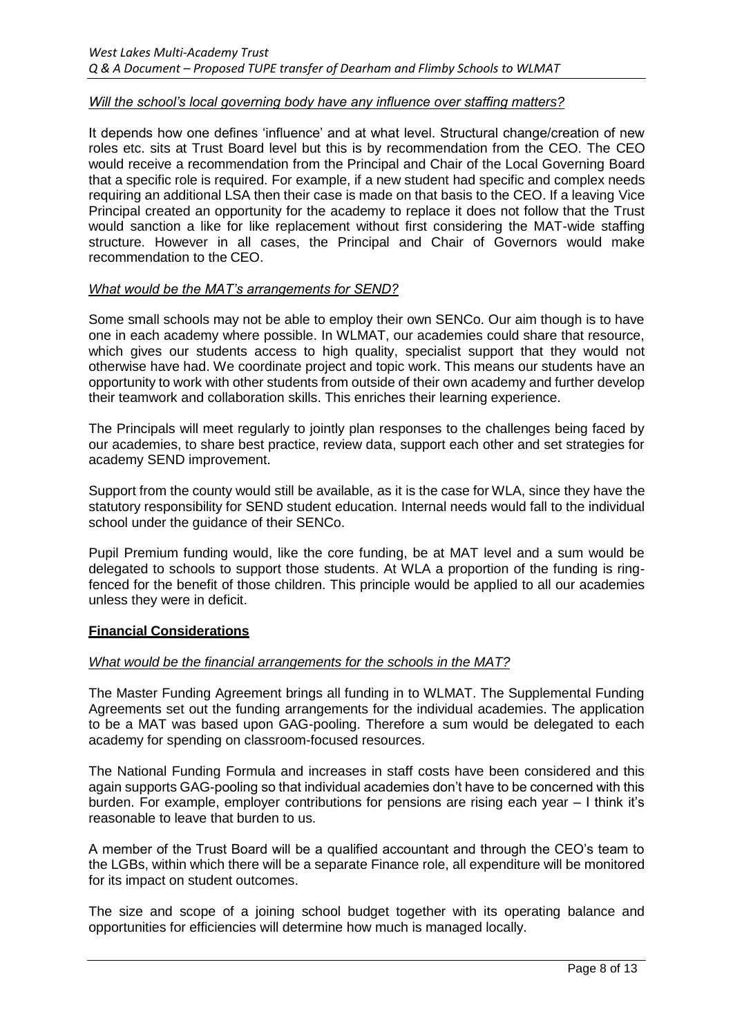## *Will the school's local governing body have any influence over staffing matters?*

It depends how one defines 'influence' and at what level. Structural change/creation of new roles etc. sits at Trust Board level but this is by recommendation from the CEO. The CEO would receive a recommendation from the Principal and Chair of the Local Governing Board that a specific role is required. For example, if a new student had specific and complex needs requiring an additional LSA then their case is made on that basis to the CEO. If a leaving Vice Principal created an opportunity for the academy to replace it does not follow that the Trust would sanction a like for like replacement without first considering the MAT-wide staffing structure. However in all cases, the Principal and Chair of Governors would make recommendation to the CEO.

#### *What would be the MAT's arrangements for SEND?*

Some small schools may not be able to employ their own SENCo. Our aim though is to have one in each academy where possible. In WLMAT, our academies could share that resource, which gives our students access to high quality, specialist support that they would not otherwise have had. We coordinate project and topic work. This means our students have an opportunity to work with other students from outside of their own academy and further develop their teamwork and collaboration skills. This enriches their learning experience.

The Principals will meet regularly to jointly plan responses to the challenges being faced by our academies, to share best practice, review data, support each other and set strategies for academy SEND improvement.

Support from the county would still be available, as it is the case for WLA, since they have the statutory responsibility for SEND student education. Internal needs would fall to the individual school under the guidance of their SENCo.

Pupil Premium funding would, like the core funding, be at MAT level and a sum would be delegated to schools to support those students. At WLA a proportion of the funding is ringfenced for the benefit of those children. This principle would be applied to all our academies unless they were in deficit.

## **Financial Considerations**

## *What would be the financial arrangements for the schools in the MAT?*

The Master Funding Agreement brings all funding in to WLMAT. The Supplemental Funding Agreements set out the funding arrangements for the individual academies. The application to be a MAT was based upon GAG-pooling. Therefore a sum would be delegated to each academy for spending on classroom-focused resources.

The National Funding Formula and increases in staff costs have been considered and this again supports GAG-pooling so that individual academies don't have to be concerned with this burden. For example, employer contributions for pensions are rising each year – I think it's reasonable to leave that burden to us.

A member of the Trust Board will be a qualified accountant and through the CEO's team to the LGBs, within which there will be a separate Finance role, all expenditure will be monitored for its impact on student outcomes.

The size and scope of a joining school budget together with its operating balance and opportunities for efficiencies will determine how much is managed locally.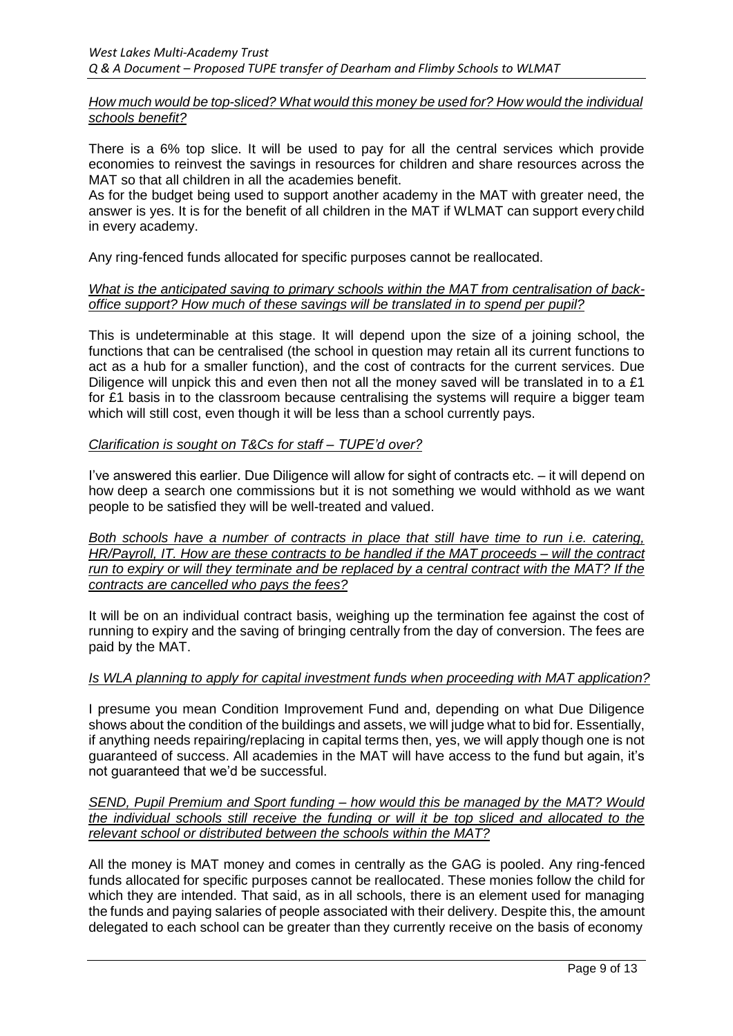*How much would be top-sliced? What would this money be used for? How would the individual schools benefit?*

There is a 6% top slice. It will be used to pay for all the central services which provide economies to reinvest the savings in resources for children and share resources across the MAT so that all children in all the academies benefit.

As for the budget being used to support another academy in the MAT with greater need, the answer is yes. It is for the benefit of all children in the MAT if WLMAT can support every child in every academy.

Any ring-fenced funds allocated for specific purposes cannot be reallocated.

## *What is the anticipated saving to primary schools within the MAT from centralisation of backoffice support? How much of these savings will be translated in to spend per pupil?*

This is undeterminable at this stage. It will depend upon the size of a joining school, the functions that can be centralised (the school in question may retain all its current functions to act as a hub for a smaller function), and the cost of contracts for the current services. Due Diligence will unpick this and even then not all the money saved will be translated in to a £1 for £1 basis in to the classroom because centralising the systems will require a bigger team which will still cost, even though it will be less than a school currently pays.

# *Clarification is sought on T&Cs for staff – TUPE'd over?*

I've answered this earlier. Due Diligence will allow for sight of contracts etc. – it will depend on how deep a search one commissions but it is not something we would withhold as we want people to be satisfied they will be well-treated and valued.

*Both schools have a number of contracts in place that still have time to run i.e. catering, HR/Payroll, IT. How are these contracts to be handled if the MAT proceeds – will the contract run to expiry or will they terminate and be replaced by a central contract with the MAT? If the contracts are cancelled who pays the fees?*

It will be on an individual contract basis, weighing up the termination fee against the cost of running to expiry and the saving of bringing centrally from the day of conversion. The fees are paid by the MAT.

# *Is WLA planning to apply for capital investment funds when proceeding with MAT application?*

I presume you mean Condition Improvement Fund and, depending on what Due Diligence shows about the condition of the buildings and assets, we will judge what to bid for. Essentially, if anything needs repairing/replacing in capital terms then, yes, we will apply though one is not guaranteed of success. All academies in the MAT will have access to the fund but again, it's not guaranteed that we'd be successful.

*SEND, Pupil Premium and Sport funding – how would this be managed by the MAT? Would the individual schools still receive the funding or will it be top sliced and allocated to the relevant school or distributed between the schools within the MAT?*

All the money is MAT money and comes in centrally as the GAG is pooled. Any ring-fenced funds allocated for specific purposes cannot be reallocated. These monies follow the child for which they are intended. That said, as in all schools, there is an element used for managing the funds and paying salaries of people associated with their delivery. Despite this, the amount delegated to each school can be greater than they currently receive on the basis of economy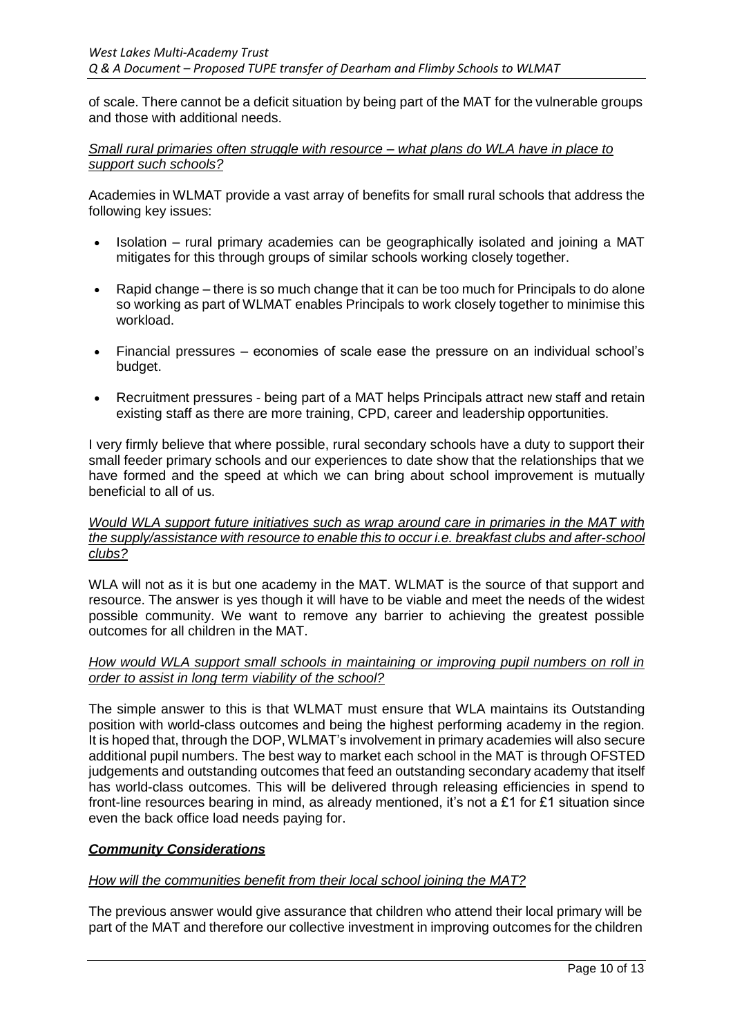of scale. There cannot be a deficit situation by being part of the MAT for the vulnerable groups and those with additional needs.

*Small rural primaries often struggle with resource – what plans do WLA have in place to support such schools?*

Academies in WLMAT provide a vast array of benefits for small rural schools that address the following key issues:

- Isolation rural primary academies can be geographically isolated and joining a MAT mitigates for this through groups of similar schools working closely together.
- Rapid change there is so much change that it can be too much for Principals to do alone so working as part of WLMAT enables Principals to work closely together to minimise this workload.
- Financial pressures economies of scale ease the pressure on an individual school's budget.
- Recruitment pressures being part of a MAT helps Principals attract new staff and retain existing staff as there are more training, CPD, career and leadership opportunities.

I very firmly believe that where possible, rural secondary schools have a duty to support their small feeder primary schools and our experiences to date show that the relationships that we have formed and the speed at which we can bring about school improvement is mutually beneficial to all of us.

*Would WLA support future initiatives such as wrap around care in primaries in the MAT with the supply/assistance with resource to enable this to occur i.e. breakfast clubs and after-school clubs?*

WLA will not as it is but one academy in the MAT. WLMAT is the source of that support and resource. The answer is yes though it will have to be viable and meet the needs of the widest possible community. We want to remove any barrier to achieving the greatest possible outcomes for all children in the MAT.

## *How would WLA support small schools in maintaining or improving pupil numbers on roll in order to assist in long term viability of the school?*

The simple answer to this is that WLMAT must ensure that WLA maintains its Outstanding position with world-class outcomes and being the highest performing academy in the region. It is hoped that, through the DOP, WLMAT's involvement in primary academies will also secure additional pupil numbers. The best way to market each school in the MAT is through OFSTED judgements and outstanding outcomes that feed an outstanding secondary academy that itself has world-class outcomes. This will be delivered through releasing efficiencies in spend to front-line resources bearing in mind, as already mentioned, it's not a £1 for £1 situation since even the back office load needs paying for.

## *Community Considerations*

## *How will the communities benefit from their local school joining the MAT?*

The previous answer would give assurance that children who attend their local primary will be part of the MAT and therefore our collective investment in improving outcomes for the children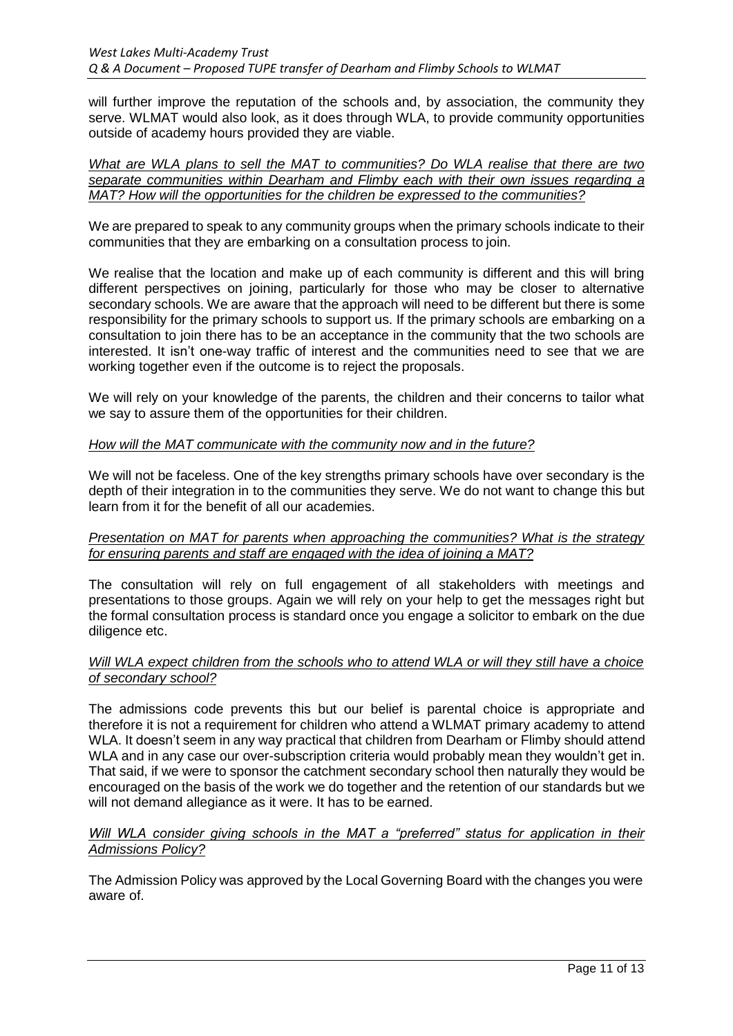will further improve the reputation of the schools and, by association, the community they serve. WLMAT would also look, as it does through WLA, to provide community opportunities outside of academy hours provided they are viable.

*What are WLA plans to sell the MAT to communities? Do WLA realise that there are two separate communities within Dearham and Flimby each with their own issues regarding a MAT? How will the opportunities for the children be expressed to the communities?*

We are prepared to speak to any community groups when the primary schools indicate to their communities that they are embarking on a consultation process to join.

We realise that the location and make up of each community is different and this will bring different perspectives on joining, particularly for those who may be closer to alternative secondary schools. We are aware that the approach will need to be different but there is some responsibility for the primary schools to support us. If the primary schools are embarking on a consultation to join there has to be an acceptance in the community that the two schools are interested. It isn't one-way traffic of interest and the communities need to see that we are working together even if the outcome is to reject the proposals.

We will rely on your knowledge of the parents, the children and their concerns to tailor what we say to assure them of the opportunities for their children.

## *How will the MAT communicate with the community now and in the future?*

We will not be faceless. One of the key strengths primary schools have over secondary is the depth of their integration in to the communities they serve. We do not want to change this but learn from it for the benefit of all our academies.

#### *Presentation on MAT for parents when approaching the communities? What is the strategy for ensuring parents and staff are engaged with the idea of joining a MAT?*

The consultation will rely on full engagement of all stakeholders with meetings and presentations to those groups. Again we will rely on your help to get the messages right but the formal consultation process is standard once you engage a solicitor to embark on the due diligence etc.

#### *Will WLA expect children from the schools who to attend WLA or will they still have a choice of secondary school?*

The admissions code prevents this but our belief is parental choice is appropriate and therefore it is not a requirement for children who attend a WLMAT primary academy to attend WLA. It doesn't seem in any way practical that children from Dearham or Flimby should attend WLA and in any case our over-subscription criteria would probably mean they wouldn't get in. That said, if we were to sponsor the catchment secondary school then naturally they would be encouraged on the basis of the work we do together and the retention of our standards but we will not demand allegiance as it were. It has to be earned.

## *Will WLA consider giving schools in the MAT a "preferred" status for application in their Admissions Policy?*

The Admission Policy was approved by the Local Governing Board with the changes you were aware of.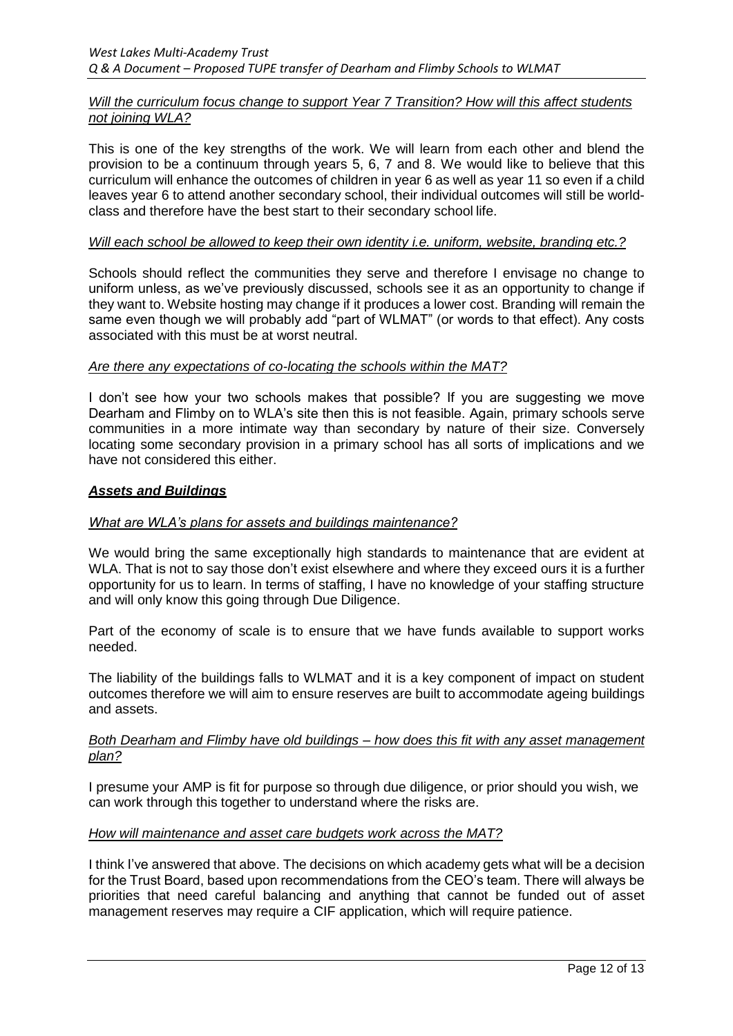## *Will the curriculum focus change to support Year 7 Transition? How will this affect students not joining WLA?*

This is one of the key strengths of the work. We will learn from each other and blend the provision to be a continuum through years 5, 6, 7 and 8. We would like to believe that this curriculum will enhance the outcomes of children in year 6 as well as year 11 so even if a child leaves year 6 to attend another secondary school, their individual outcomes will still be worldclass and therefore have the best start to their secondary school life.

## *Will each school be allowed to keep their own identity i.e. uniform, website, branding etc.?*

Schools should reflect the communities they serve and therefore I envisage no change to uniform unless, as we've previously discussed, schools see it as an opportunity to change if they want to. Website hosting may change if it produces a lower cost. Branding will remain the same even though we will probably add "part of WLMAT" (or words to that effect). Any costs associated with this must be at worst neutral.

## *Are there any expectations of co-locating the schools within the MAT?*

I don't see how your two schools makes that possible? If you are suggesting we move Dearham and Flimby on to WLA's site then this is not feasible. Again, primary schools serve communities in a more intimate way than secondary by nature of their size. Conversely locating some secondary provision in a primary school has all sorts of implications and we have not considered this either.

#### *Assets and Buildings*

## *What are WLA's plans for assets and buildings maintenance?*

We would bring the same exceptionally high standards to maintenance that are evident at WLA. That is not to say those don't exist elsewhere and where they exceed ours it is a further opportunity for us to learn. In terms of staffing, I have no knowledge of your staffing structure and will only know this going through Due Diligence.

Part of the economy of scale is to ensure that we have funds available to support works needed.

The liability of the buildings falls to WLMAT and it is a key component of impact on student outcomes therefore we will aim to ensure reserves are built to accommodate ageing buildings and assets.

#### *Both Dearham and Flimby have old buildings – how does this fit with any asset management plan?*

I presume your AMP is fit for purpose so through due diligence, or prior should you wish, we can work through this together to understand where the risks are.

## *How will maintenance and asset care budgets work across the MAT?*

I think I've answered that above. The decisions on which academy gets what will be a decision for the Trust Board, based upon recommendations from the CEO's team. There will always be priorities that need careful balancing and anything that cannot be funded out of asset management reserves may require a CIF application, which will require patience.